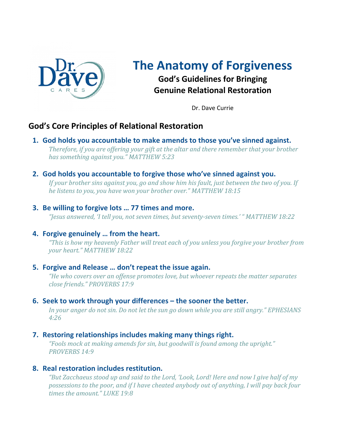

## **The Anatomy of Forgiveness God's Guidelines for Bringing**

**Genuine Relational Restoration**

Dr. Dave Currie

### **God's Core Principles of Relational Restoration**

- **1. God holds you accountable to make amends to those you've sinned against.** Therefore, if you are offering your gift at the altar and there remember that your brother *has something against you." MATTHEW 5:23*
- **2. God holds you accountable to forgive those who've sinned against you.**

*If your brother sins against you, go and show him his fault, just between the two of you. If* he listens to you, you have won your brother over." MATTHEW 18:15

#### **3. Be willing to forgive lots … 77 times and more.**

*"Jesus answered, 'I tell you, not seven times, but seventy-seven times.' " MATTHEW 18:22*

#### **4. Forgive genuinely … from the heart.**

"This is how my heavenly Father will treat each of you unless you forgive your brother from *your heart." MATTHEW 18:22*

#### **5. Forgive and Release … don't repeat the issue again.**

"He who covers over an offense promotes love, but whoever repeats the matter separates *close friends." PROVERBS 17:9*

#### **6. Seek to work through your differences – the sooner the better.**

In your anger do not sin. Do not let the sun go down while you are still angry." *EPHESIANS 4:26*

#### **7. Restoring relationships includes making many things right.**

"Fools mock at making amends for sin, but goodwill is found among the upright." *PROVERBS 14:9*

#### **8. Real restoration includes restitution.**

"But Zacchaeus stood up and said to the Lord, 'Look, Lord! Here and now I give half of my *possessions to the poor, and if I have cheated anybody out of anything, I will pay back four times the amount." LUKE 19:8*